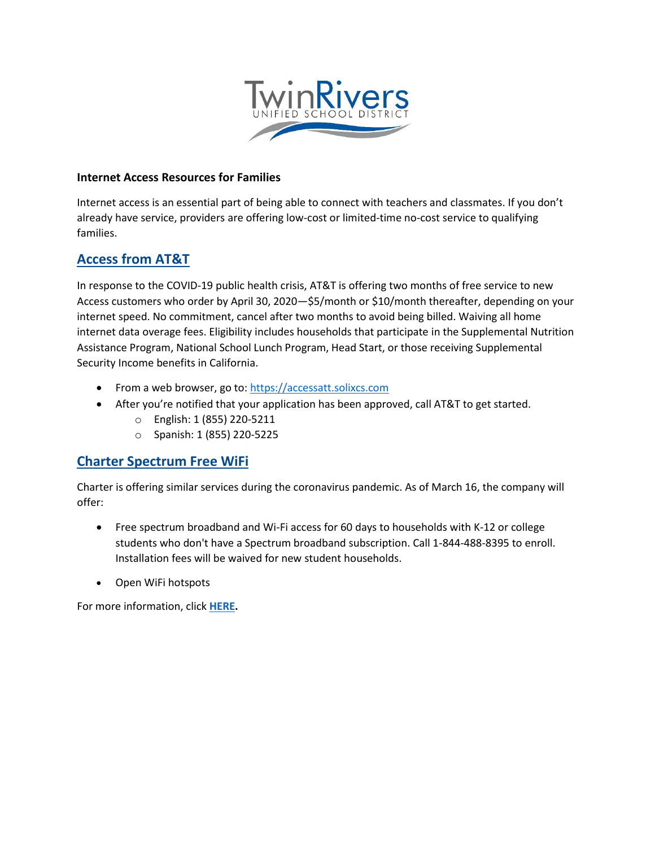

#### **Internet Access Resources for Families**

Internet access is an essential part of being able to connect with teachers and classmates. If you don't already have service, providers are offering low-cost or limited-time no-cost service to qualifying families.

### **[Access from AT&T](https://accessatt.solixcs.com/#/home)**

In response to the COVID-19 public health crisis, AT&T is offering two months of free service to new Access customers who order by April 30, 2020—\$5/month or \$10/month thereafter, depending on your internet speed. No commitment, cancel after two months to avoid being billed. Waiving all home internet data overage fees. Eligibility includes households that participate in the Supplemental Nutrition Assistance Program, National School Lunch Program, Head Start, or those receiving Supplemental Security Income benefits in California.

- From a web browser, go to: [https://accessatt.solixcs.com](https://accessatt.solixcs.com/)
- After you're notified that your application has been approved, call AT&T to get started.
	- o English: 1 (855) 220-5211
	- o Spanish: 1 (855) 220-5225

#### **[Charter Spectrum Free WiFi](https://corporate.charter.com/newsroom/charter-to-offer-free-access-to-spectrum-broadband-and-wifi-for-60-days-for-new-K12-and-college-student-households-and-more)**

Charter is offering similar services during the coronavirus pandemic. As of March 16, the company will offer:

- Free spectrum broadband and Wi-Fi access for 60 days to households with K-12 or college students who don't have a Spectrum broadband subscription. Call 1-844-488-8395 to enroll. Installation fees will be waived for new student households.
- Open WiFi hotspots

For more information, click **[HERE.](https://corporate.charter.com/newsroom/charter-to-offer-free-access-to-spectrum-broadband-and-wifi-for-60-days-for-new-K12-and-college-student-households-and-more)**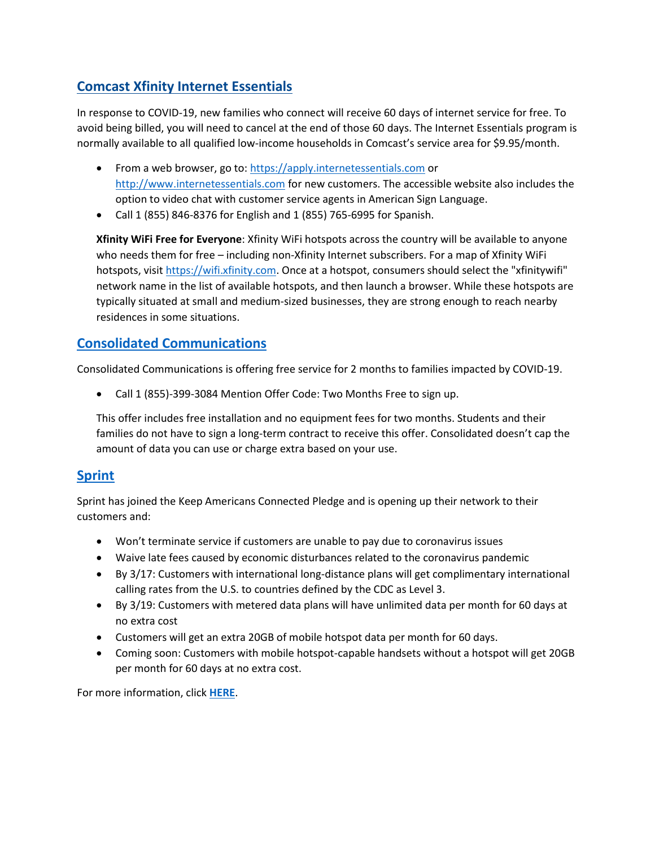# **[Comcast Xfinity Internet Essentials](https://apply.internetessentials.com/)**

In response to COVID-19, new families who connect will receive 60 days of internet service for free. To avoid being billed, you will need to cancel at the end of those 60 days. The Internet Essentials program is normally available to all qualified low-income households in Comcast's service area for \$9.95/month.

- From a web browser, go to: [https://apply.internetessentials.com](https://apply.internetessentials.com/) or [http://www.internetessentials.com](http://www.internetessentials.com/) for new customers. The accessible website also includes the option to video chat with customer service agents in American Sign Language.
- Call 1 (855) 846-8376 for English and 1 (855) 765-6995 for Spanish.

**Xfinity WiFi Free for Everyone**: Xfinity WiFi hotspots across the country will be available to anyone who needs them for free – including non-Xfinity Internet subscribers. For a map of Xfinity WiFi hotspots, visit [https://wifi.xfinity.com.](https://wifi.xfinity.com/) Once at a hotspot, consumers should select the "xfinitywifi" network name in the list of available hotspots, and then launch a browser. While these hotspots are typically situated at small and medium-sized businesses, they are strong enough to reach nearby residences in some situations.

## **[Consolidated Communications](https://www.consolidated.com/)**

Consolidated Communications is offering free service for 2 months to families impacted by COVID-19.

Call 1 (855)-399-3084 Mention Offer Code: Two Months Free to sign up.

This offer includes free installation and no equipment fees for two months. Students and their families do not have to sign a long-term contract to receive this offer. Consolidated doesn't cap the amount of data you can use or charge extra based on your use.

## **[Sprint](https://newsroom.sprint.com/covid-19-updates-sprint-responds.htm?linkId=84300271)**

Sprint has joined the Keep Americans Connected Pledge and is opening up their network to their customers and:

- Won't terminate service if customers are unable to pay due to coronavirus issues
- Waive late fees caused by economic disturbances related to the coronavirus pandemic
- By 3/17: Customers with international long-distance plans will get complimentary international calling rates from the U.S. to countries defined by the CDC as Level 3.
- By 3/19: Customers with metered data plans will have unlimited data per month for 60 days at no extra cost
- Customers will get an extra 20GB of mobile hotspot data per month for 60 days.
- Coming soon: Customers with mobile hotspot-capable handsets without a hotspot will get 20GB per month for 60 days at no extra cost.

For more information, click **[HERE](https://newsroom.sprint.com/covid-19-updates-sprint-responds.htm?linkId=84300271)**.